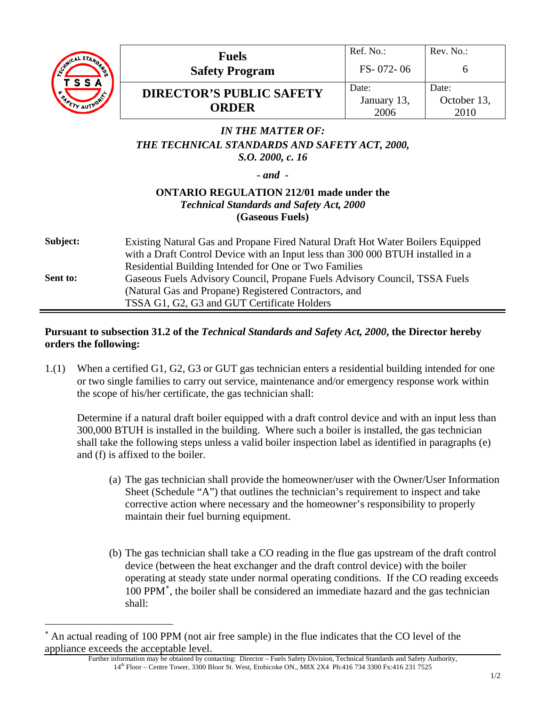

 $\overline{a}$ 

| ್ಬಿ | <b>Fuels</b><br><b>Safety Program</b>           | Ref. No.:<br>$FS - 072 - 06$ | Rev. No.                     |
|-----|-------------------------------------------------|------------------------------|------------------------------|
| ٠,  | <b>DIRECTOR'S PUBLIC SAFETY</b><br><b>ORDER</b> | Date:<br>January 13,<br>2006 | Date:<br>October 13,<br>2010 |

## *IN THE MATTER OF: THE TECHNICAL STANDARDS AND SAFETY ACT, 2000, S.O. 2000, c. 16*

*- and -* 

### **ONTARIO REGULATION 212/01 made under the**  *Technical Standards and Safety Act, 2000*  **(Gaseous Fuels)**

| Subject: | Existing Natural Gas and Propane Fired Natural Draft Hot Water Boilers Equipped<br>with a Draft Control Device with an Input less than 300 000 BTUH installed in a |
|----------|--------------------------------------------------------------------------------------------------------------------------------------------------------------------|
|          | Residential Building Intended for One or Two Families                                                                                                              |
| Sent to: | Gaseous Fuels Advisory Council, Propane Fuels Advisory Council, TSSA Fuels                                                                                         |
|          | (Natural Gas and Propane) Registered Contractors, and                                                                                                              |
|          | TSSA G1, G2, G3 and GUT Certificate Holders                                                                                                                        |

### **Pursuant to subsection 31.2 of the** *Technical Standards and Safety Act, 2000***, the Director hereby orders the following:**

1.(1) When a certified G1, G2, G3 or GUT gas technician enters a residential building intended for one or two single families to carry out service, maintenance and/or emergency response work within the scope of his/her certificate, the gas technician shall:

Determine if a natural draft boiler equipped with a draft control device and with an input less than 300,000 BTUH is installed in the building. Where such a boiler is installed, the gas technician shall take the following steps unless a valid boiler inspection label as identified in paragraphs (e) and (f) is affixed to the boiler.

- (a) The gas technician shall provide the homeowner/user with the Owner/User Information Sheet (Schedule "A") that outlines the technician's requirement to inspect and take corrective action where necessary and the homeowner's responsibility to properly maintain their fuel burning equipment.
- (b) The gas technician shall take a CO reading in the flue gas upstream of the draft control device (between the heat exchanger and the draft control device) with the boiler operating at steady state under normal operating conditions. If the CO reading exceeds 100 PPM<sup>∗</sup> , the boiler shall be considered an immediate hazard and the gas technician shall:

<sup>∗</sup> An actual reading of 100 PPM (not air free sample) in the flue indicates that the CO level of the appliance exceeds the acceptable level.

Further information may be obtained by contacting: Director – Fuels Safety Division, Technical Standards and Safety Authority, 14th Floor – Centre Tower, 3300 Bloor St. West, Etobicoke ON., M8X 2X4 Ph:416 734 3300 Fx:416 231 7525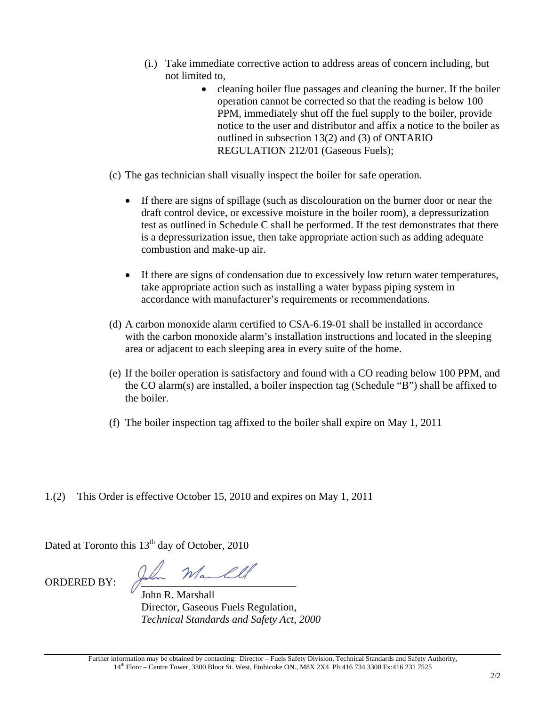- (i.) Take immediate corrective action to address areas of concern including, but not limited to,
	- cleaning boiler flue passages and cleaning the burner. If the boiler operation cannot be corrected so that the reading is below 100 PPM, immediately shut off the fuel supply to the boiler, provide notice to the user and distributor and affix a notice to the boiler as outlined in subsection 13(2) and (3) of ONTARIO REGULATION 212/01 (Gaseous Fuels);
- (c) The gas technician shall visually inspect the boiler for safe operation.
	- If there are signs of spillage (such as discolouration on the burner door or near the draft control device, or excessive moisture in the boiler room), a depressurization test as outlined in Schedule C shall be performed. If the test demonstrates that there is a depressurization issue, then take appropriate action such as adding adequate combustion and make-up air.
	- If there are signs of condensation due to excessively low return water temperatures, take appropriate action such as installing a water bypass piping system in accordance with manufacturer's requirements or recommendations.
- (d) A carbon monoxide alarm certified to CSA-6.19-01 shall be installed in accordance with the carbon monoxide alarm's installation instructions and located in the sleeping area or adjacent to each sleeping area in every suite of the home.
- (e) If the boiler operation is satisfactory and found with a CO reading below 100 PPM, and the CO alarm(s) are installed, a boiler inspection tag (Schedule "B") shall be affixed to the boiler.
- (f) The boiler inspection tag affixed to the boiler shall expire on May 1, 2011
- 1.(2) This Order is effective October 15, 2010 and expires on May 1, 2011

Dated at Toronto this  $13<sup>th</sup>$  day of October, 2010

ORDERED BY: John Manll

 John R. Marshall Director, Gaseous Fuels Regulation, *Technical Standards and Safety Act, 2000*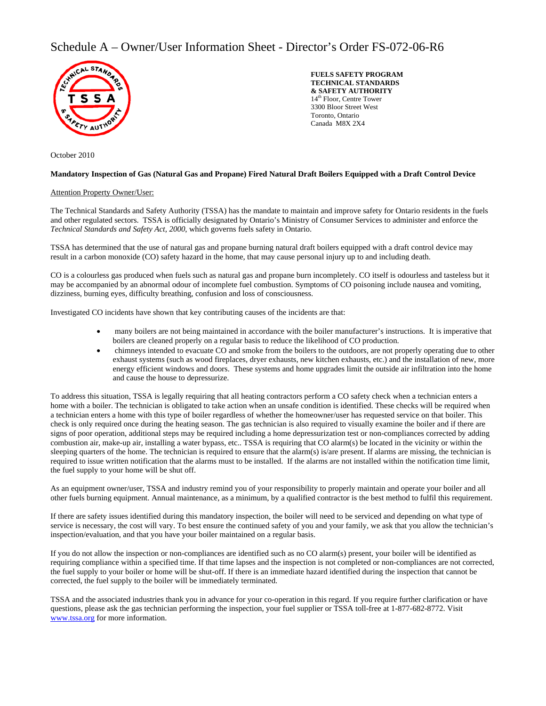### Schedule A – Owner/User Information Sheet - Director's Order FS-072-06-R6



October 2010

**FUELS SAFETY PROGRAM TECHNICAL STANDARDS & SAFETY AUTHORITY**  14<sup>th</sup> Floor, Centre Tower 3300 Bloor Street West Toronto, Ontario Canada M8X 2X4

#### **Mandatory Inspection of Gas (Natural Gas and Propane) Fired Natural Draft Boilers Equipped with a Draft Control Device**

#### Attention Property Owner/User:

The Technical Standards and Safety Authority (TSSA) has the mandate to maintain and improve safety for Ontario residents in the fuels and other regulated sectors. TSSA is officially designated by Ontario's Ministry of Consumer Services to administer and enforce the *Technical Standards and Safety Act, 2000*, which governs fuels safety in Ontario.

TSSA has determined that the use of natural gas and propane burning natural draft boilers equipped with a draft control device may result in a carbon monoxide (CO) safety hazard in the home, that may cause personal injury up to and including death.

CO is a colourless gas produced when fuels such as natural gas and propane burn incompletely. CO itself is odourless and tasteless but it may be accompanied by an abnormal odour of incomplete fuel combustion. Symptoms of CO poisoning include nausea and vomiting, dizziness, burning eyes, difficulty breathing, confusion and loss of consciousness.

Investigated CO incidents have shown that key contributing causes of the incidents are that:

- many boilers are not being maintained in accordance with the boiler manufacturer's instructions. It is imperative that boilers are cleaned properly on a regular basis to reduce the likelihood of CO production.
- chimneys intended to evacuate CO and smoke from the boilers to the outdoors, are not properly operating due to other exhaust systems (such as wood fireplaces, dryer exhausts, new kitchen exhausts, etc.) and the installation of new, more energy efficient windows and doors. These systems and home upgrades limit the outside air infiltration into the home and cause the house to depressurize.

To address this situation, TSSA is legally requiring that all heating contractors perform a CO safety check when a technician enters a home with a boiler. The technician is obligated to take action when an unsafe condition is identified. These checks will be required when a technician enters a home with this type of boiler regardless of whether the homeowner/user has requested service on that boiler. This check is only required once during the heating season. The gas technician is also required to visually examine the boiler and if there are signs of poor operation, additional steps may be required including a home depressurization test or non-compliances corrected by adding combustion air, make-up air, installing a water bypass, etc.. TSSA is requiring that CO alarm(s) be located in the vicinity or within the sleeping quarters of the home. The technician is required to ensure that the alarm(s) is/are present. If alarms are missing, the technician is required to issue written notification that the alarms must to be installed. If the alarms are not installed within the notification time limit, the fuel supply to your home will be shut off.

As an equipment owner/user, TSSA and industry remind you of your responsibility to properly maintain and operate your boiler and all other fuels burning equipment. Annual maintenance, as a minimum, by a qualified contractor is the best method to fulfil this requirement.

If there are safety issues identified during this mandatory inspection, the boiler will need to be serviced and depending on what type of service is necessary, the cost will vary. To best ensure the continued safety of you and your family, we ask that you allow the technician's inspection/evaluation, and that you have your boiler maintained on a regular basis.

If you do not allow the inspection or non-compliances are identified such as no CO alarm(s) present, your boiler will be identified as requiring compliance within a specified time. If that time lapses and the inspection is not completed or non-compliances are not corrected, the fuel supply to your boiler or home will be shut-off. If there is an immediate hazard identified during the inspection that cannot be corrected, the fuel supply to the boiler will be immediately terminated.

TSSA and the associated industries thank you in advance for your co-operation in this regard. If you require further clarification or have questions, please ask the gas technician performing the inspection, your fuel supplier or TSSA toll-free at 1-877-682-8772. Visit www.tssa.org for more information.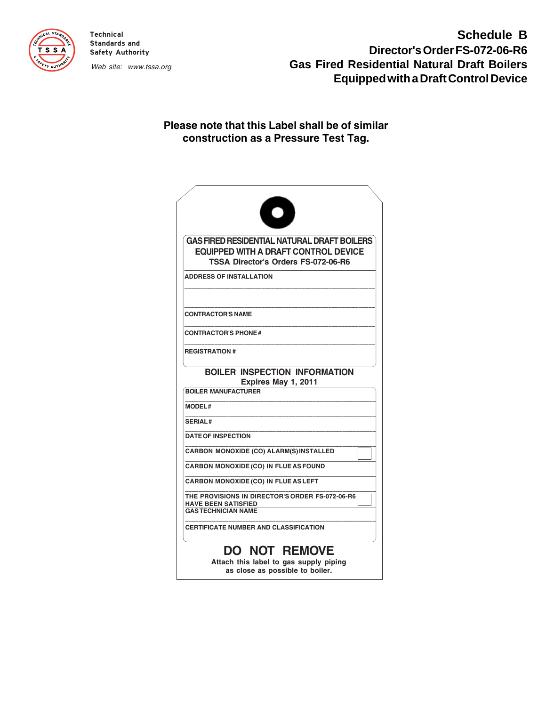

**Technical Standards and Safety Authority**

Web site: www.tssa.org

# **Schedule B Director's Order FS-072-06-R6 Gas Fired Residential Natural Draft Boilers Equipped with a Draft Control Device**

### **Please note that this Label shall be of similar construction as a Pressure Test Tag.**

|                      | <b>GAS FIRED RESIDENTIAL NATURAL DRAFT BOILERS</b><br><b>EQUIPPED WITH A DRAFT CONTROL DEVICE</b><br><b>TSSA Director's Orders FS-072-06-R6</b> |
|----------------------|-------------------------------------------------------------------------------------------------------------------------------------------------|
|                      | <b>ADDRESS OF INSTALLATION</b>                                                                                                                  |
|                      | <b>CONTRACTOR'S NAME</b>                                                                                                                        |
|                      | <b>CONTRACTOR'S PHONE#</b>                                                                                                                      |
| <b>REGISTRATION#</b> |                                                                                                                                                 |
|                      | <b>BOILER INSPECTION INFORMATION</b><br>Expires May 1, 2011                                                                                     |
|                      | <b>BOILER MANUFACTURER</b>                                                                                                                      |
| <b>MODEL#</b>        |                                                                                                                                                 |
| <b>SERIAL#</b>       |                                                                                                                                                 |
|                      | <b>DATE OF INSPECTION</b>                                                                                                                       |
|                      | <b>CARBON MONOXIDE (CO) ALARM(S) INSTALLED</b>                                                                                                  |
|                      | <b>CARBON MONOXIDE (CO) IN FLUE AS FOUND</b>                                                                                                    |
|                      | <b>CARBON MONOXIDE (CO) IN FLUE AS LEFT</b>                                                                                                     |
|                      | THE PROVISIONS IN DIRECTOR'S ORDER FS-072-06-R6<br><b>HAVE BEEN SATISFIED</b><br><b>GASTECHNICIAN NAME</b>                                      |